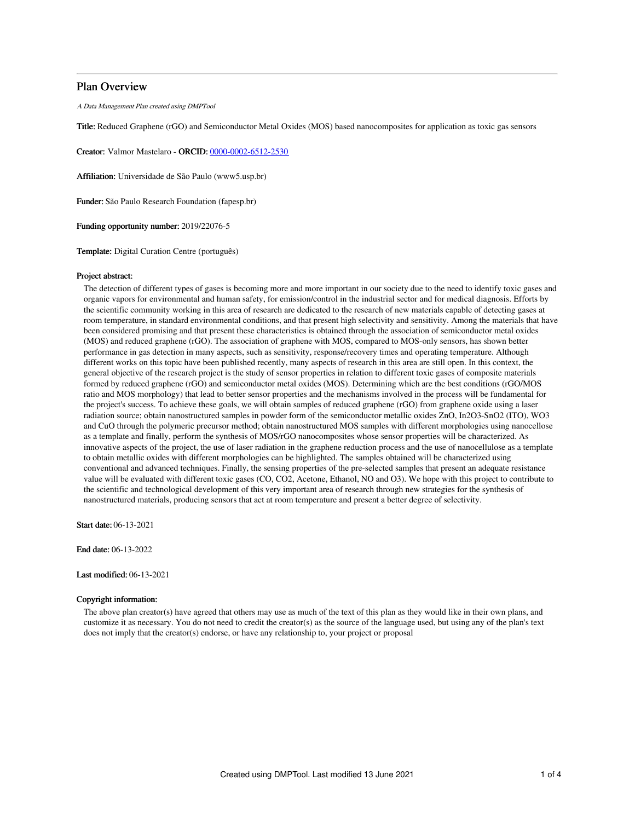## Plan Overview

A Data Management Plan created using DMPTool

Title: Reduced Graphene (rGO) and Semiconductor Metal Oxides (MOS) based nanocomposites for application as toxic gas sensors

Creator: Valmor Mastelaro - ORCID: [0000-0002-6512-2530](https://orcid.org/0000-0002-6512-2530)

Affiliation: Universidade de São Paulo (www5.usp.br)

Funder: São Paulo Research Foundation (fapesp.br)

Funding opportunity number: 2019/22076-5

Template: Digital Curation Centre (português)

#### Project abstract:

The detection of different types of gases is becoming more and more important in our society due to the need to identify toxic gases and organic vapors for environmental and human safety, for emission/control in the industrial sector and for medical diagnosis. Efforts by the scientific community working in this area of research are dedicated to the research of new materials capable of detecting gases at room temperature, in standard environmental conditions, and that present high selectivity and sensitivity. Among the materials that have been considered promising and that present these characteristics is obtained through the association of semiconductor metal oxides (MOS) and reduced graphene (rGO). The association of graphene with MOS, compared to MOS-only sensors, has shown better performance in gas detection in many aspects, such as sensitivity, response/recovery times and operating temperature. Although different works on this topic have been published recently, many aspects of research in this area are still open. In this context, the general objective of the research project is the study of sensor properties in relation to different toxic gases of composite materials formed by reduced graphene (rGO) and semiconductor metal oxides (MOS). Determining which are the best conditions (rGO/MOS ratio and MOS morphology) that lead to better sensor properties and the mechanisms involved in the process will be fundamental for the project's success. To achieve these goals, we will obtain samples of reduced graphene (rGO) from graphene oxide using a laser radiation source; obtain nanostructured samples in powder form of the semiconductor metallic oxides ZnO, In2O3-SnO2 (ITO), WO3 and CuO through the polymeric precursor method; obtain nanostructured MOS samples with different morphologies using nanocellose as a template and finally, perform the synthesis of MOS/rGO nanocomposites whose sensor properties will be characterized. As innovative aspects of the project, the use of laser radiation in the graphene reduction process and the use of nanocellulose as a template to obtain metallic oxides with different morphologies can be highlighted. The samples obtained will be characterized using conventional and advanced techniques. Finally, the sensing properties of the pre-selected samples that present an adequate resistance value will be evaluated with different toxic gases (CO, CO2, Acetone, Ethanol, NO and O3). We hope with this project to contribute to the scientific and technological development of this very important area of research through new strategies for the synthesis of nanostructured materials, producing sensors that act at room temperature and present a better degree of selectivity.

Start date: 06-13-2021

End date: 06-13-2022

Last modified: 06-13-2021

### Copyright information:

The above plan creator(s) have agreed that others may use as much of the text of this plan as they would like in their own plans, and customize it as necessary. You do not need to credit the creator(s) as the source of the language used, but using any of the plan's text does not imply that the creator(s) endorse, or have any relationship to, your project or proposal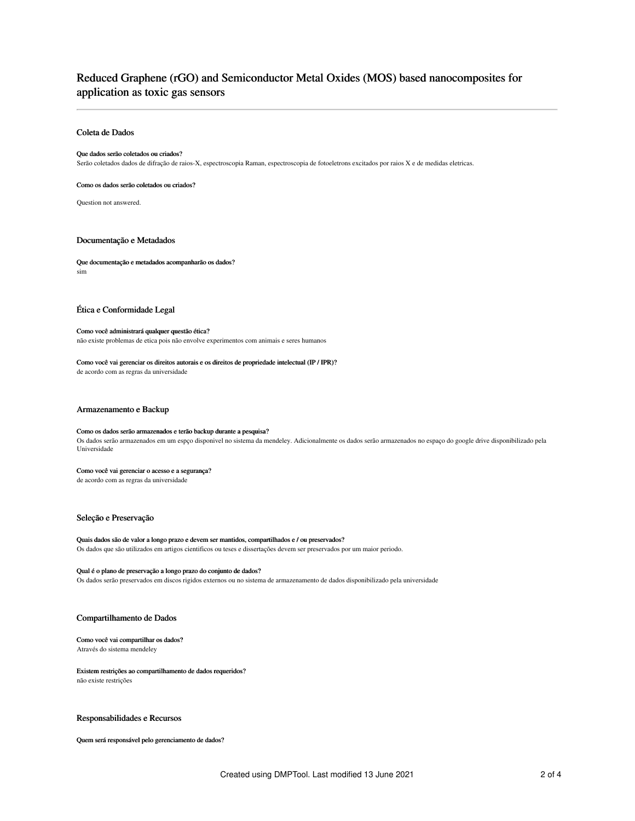## Reduced Graphene (rGO) and Semiconductor Metal Oxides (MOS) based nanocomposites for application as toxic gas sensors

## Coleta de Dados

#### Que dados serão coletados ou criados?

Serão coletados dados de difração de raios-X, espectroscopia Raman, espectroscopia de fotoeletrons excitados por raios X e de medidas eletricas.

#### Como os dados serão coletados ou criados?

Question not answered.

## Documentação e Metadados

Que documentação e metadados acompanharão os dados? sim

## Ética e Conformidade Legal

## Como você administrará qualquer questão ética? não existe problemas de etica pois não envolve experimentos com animais e seres humanos

## Como você vai gerenciar os direitos autorais e os direitos de propriedade intelectual (IP / IPR)?

de acordo com as regras da universidade

#### Armazenamento e Backup

#### Como os dados serão armazenados e terão backup durante a pesquisa?

Os dados serão armazenados em um espço disponivel no sistema da mendeley. Adicionalmente os dados serão armazenados no espaço do google drive disponibilizado pela Universidade

#### Como você vai gerenciar o acesso e a segurança?

de acordo com as regras da universidade

## Seleção e Preservação

## Quais dados são de valor a longo prazo e devem ser mantidos, compartilhados e / ou preservados?

Os dados que são utilizados em artigos cientificos ou teses e dissertações devem ser preservados por um maior periodo.

#### Qual é o plano de preservação a longo prazo do conjunto de dados?

Os dados serão preservados em discos rigidos externos ou no sistema de armazenamento de dados disponibilizado pela universidade

#### Compartilhamento de Dados

#### Como você vai compartilhar os dados? Através do sistema mendeley

#### Existem restrições ao compartilhamento de dados requeridos? não existe restrições

## Responsabilidades e Recursos

Quem será responsável pelo gerenciamento de dados?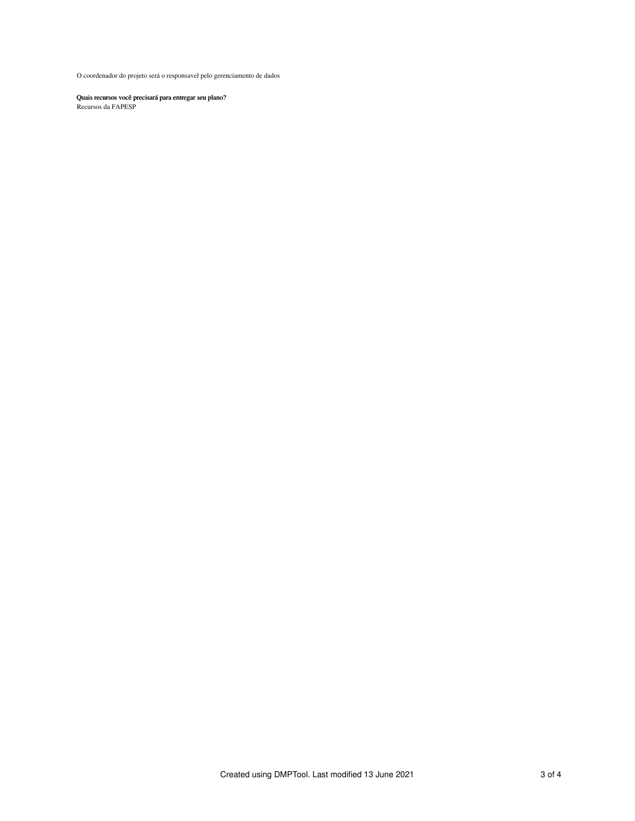O coordenador do projeto será o responsavel pelo gerenciamento de dados

Quais recursos você precisará para entregar seu plano?

Recursos da FAPESP